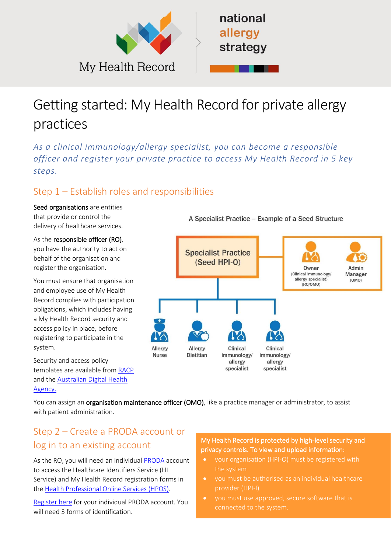

# Getting started: My Health Record for private allergy practices

*As a clinical immunology/allergy specialist, you can become a responsible officer and register your private practice to access My Health Record in 5 key steps.*

#### Step 1 – Establish roles and responsibilities

Seed organisations are entities that provide or control the delivery of healthcare services.

As the responsible officer (RO), you have the authority to act on behalf of the organisation and register the organisation.

You must ensure that organisation and employee use of My Health Record complies with participation obligations, which includes having a My Health Record security and access policy in place, before registering to participate in the system.

Security and access policy templates are available from [RACP](https://aus01.safelinks.protection.outlook.com/?url=https%3A%2F%2Fwww.racp.edu.au%2Fdocs%2Fdefault-source%2Ffellows%2Fresources%2Fmy-health-record-system-security-and-access-policy-template.docx%3Fsfvrsn%3D7b43fc1a_0&data=04%7C01%7CRhiannon.Newberry%40digitalhealth.gov.au%7Ca0ba862178974ebb239f08d947738d18%7C49c6971ed0164e1ab04195533ede53a1%7C0%7C0%7C637619383876226145%7CUnknown%7CTWFpbGZsb3d8eyJWIjoiMC4wLjAwMDAiLCJQIjoiV2luMzIiLCJBTiI6Ik1haWwiLCJXVCI6Mn0%3D%7C1000&sdata=FEfQonPym1%2FpA%2BL9XyFeIBIn4d7niVyvASnZDaS0qSk%3D&reserved=0) and the [Australian Digital Health](https://www.myhealthrecord.gov.au/for-healthcare-professionals/howtos/register-your-organisation)  [Agency.](https://www.myhealthrecord.gov.au/for-healthcare-professionals/howtos/register-your-organisation)

A Specialist Practice - Example of a Seed Structure



You can assign an organisation maintenance officer (OMO), like a practice manager or administrator, to assist with patient administration.

### Step 2 – Create a PRODA account or log in to an existing account

As the RO, you will need an individual [PRODA](https://proda.humanservices.gov.au/prodalogin/pages/public/login.jsf?TAM_OP=login&USERNAME=unauthenticated&ERROR_CODE=0x00000000&URL=%2F&AUTHNLEVEL=&OLDSESSION=) account to access the Healthcare Identifiers Service (HI Service) and My Health Record registration forms in the [Health Professional Online Services \(HPOS\).](https://www.servicesaustralia.gov.au/organisations/health-professionals/services/medicare/hpos)

[Register](https://proda.humanservices.gov.au/pia/pages/public/registration/account/createAccount.jsf) here for your individual PRODA account. You will need 3 forms of identification.

#### My Health Record is protected by high-level security and privacy controls. To view and upload information:

- your organisation (HPI-O) must be registered with
- you must be authorised as an individual healthcare provider (HPI-I)
- you must use approved, secure software that is connected to the system.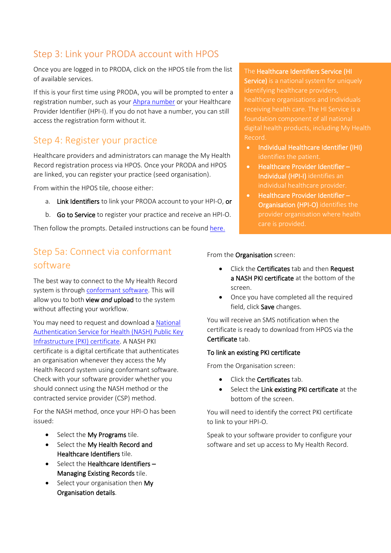#### Step 3: Link your PRODA account with HPOS

Once you are logged in to PRODA, click on the HPOS tile from the list of available services.

If this is your first time using PRODA, you will be prompted to enter a registration number, such as your [Ahpra number](https://www.ahpra.gov.au/) or your Healthcare Provider Identifier (HPI-I). If you do not have a number, you can still access the registration form without it.

#### Step 4: Register your practice

Healthcare providers and administrators can manage the My Health Record registration process via HPOS. Once your PRODA and HPOS are linked, you can register your practice (seed organisation).

From within the HPOS tile, choose either:

- a. Link Identifiers to link your PRODA account to your HPI-O, or
- b. Go to Service to register your practice and receive an HPI-O.

Then follow the prompts. Detailed instructions can be foun[d here.](https://www.servicesaustralia.gov.au/organisations/health-professionals/services/medicare/healthcare-identifiers-service-health-professionals/applying/how-apply-organisations)

#### Step 5a: Connect via conformant software

The best way to connect to the My Health Record system is through [conformant software.](https://www.myhealthrecord.gov.au/for-healthcare-professionals/conformant-clinical-software-products) This will allow you to both view *and* upload to the system without affecting your workflow.

You may need to request and download [a National](https://www.servicesaustralia.gov.au/organisations/health-professionals/services/medicare/national-authentication-service-health)  [Authentication Service for Health \(NASH\) Public Key](https://www.servicesaustralia.gov.au/organisations/health-professionals/services/medicare/national-authentication-service-health)  [Infrastructure \(PKI\) certificate.](https://www.servicesaustralia.gov.au/organisations/health-professionals/services/medicare/national-authentication-service-health) A NASH PKI certificate is a digital certificate that authenticates an organisation whenever they access the My Health Record system using conformant software. Check with your software provider whether you should connect using the NASH method or the contracted service provider (CSP) method.

For the NASH method, once your HPI-O has been issued:

- Select the My Programs tile.
- Select the My Health Record and Healthcare Identifiers tile.
- Select the Healthcare Identifiers Managing Existing Records tile.
- Select your organisation then My Organisation details.

The Healthcare Identifiers Service (HI Service) is a national system for uniquely identifying healthcare providers, healthcare organisations and individuals foundation component of all national digital health products, including My Health Record.

- Individual Healthcare Identifier (IHI) identifies the patient.
- Healthcare Provider Identifier Individual (HPI-I) identifies an individual healthcare provider.
- Healthcare Provider Identifier Organisation (HPI-O) identifies the

#### From the Organisation screen:

- Click the Certificates tab and then Request a NASH PKI certificate at the bottom of the screen.
- Once you have completed all the required field, click Save changes.

You will receive an SMS notification when the certificate is ready to download from HPOS via the Certificate tab.

## To link an existing PKI certificate

From the Organisation screen:

- Click the Certificates tab.
- Select the Link existing PKI certificate at the bottom of the screen.

You will need to identify the correct PKI certificate to link to your HPI-O.

Speak to your software provider to configure your software and set up access to My Health Record.